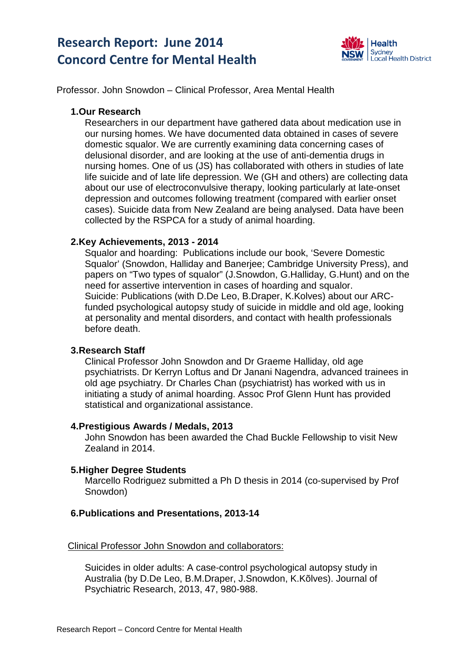# **Research Report: June 2014 Concord Centre for Mental Health**



Professor. John Snowdon – Clinical Professor, Area Mental Health

## **1.Our Research**

Researchers in our department have gathered data about medication use in our nursing homes. We have documented data obtained in cases of severe domestic squalor. We are currently examining data concerning cases of delusional disorder, and are looking at the use of anti-dementia drugs in nursing homes. One of us (JS) has collaborated with others in studies of late life suicide and of late life depression. We (GH and others) are collecting data about our use of electroconvulsive therapy, looking particularly at late-onset depression and outcomes following treatment (compared with earlier onset cases). Suicide data from New Zealand are being analysed. Data have been collected by the RSPCA for a study of animal hoarding.

## **2.Key Achievements, 2013 - 2014**

Squalor and hoarding: Publications include our book, 'Severe Domestic Squalor' (Snowdon, Halliday and Banerjee; Cambridge University Press), and papers on "Two types of squalor" (J.Snowdon, G.Halliday, G.Hunt) and on the need for assertive intervention in cases of hoarding and squalor. Suicide: Publications (with D.De Leo, B.Draper, K.Kolves) about our ARCfunded psychological autopsy study of suicide in middle and old age, looking at personality and mental disorders, and contact with health professionals before death.

## **3.Research Staff**

Clinical Professor John Snowdon and Dr Graeme Halliday, old age psychiatrists. Dr Kerryn Loftus and Dr Janani Nagendra, advanced trainees in old age psychiatry. Dr Charles Chan (psychiatrist) has worked with us in initiating a study of animal hoarding. Assoc Prof Glenn Hunt has provided statistical and organizational assistance.

#### **4.Prestigious Awards / Medals, 2013**

John Snowdon has been awarded the Chad Buckle Fellowship to visit New Zealand in 2014.

#### **5.Higher Degree Students**

Marcello Rodriguez submitted a Ph D thesis in 2014 (co-supervised by Prof Snowdon)

#### **6.Publications and Presentations, 2013-14**

## Clinical Professor John Snowdon and collaborators:

Suicides in older adults: A case-control psychological autopsy study in Australia (by D.De Leo, B.M.Draper, J.Snowdon, K.Kõlves). Journal of Psychiatric Research, 2013, 47, 980-988.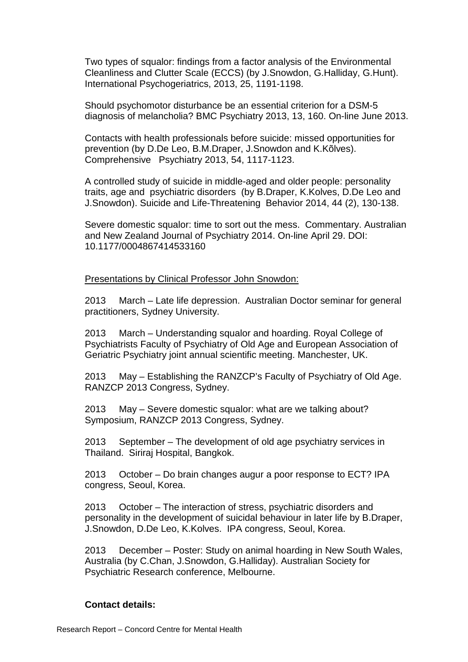Two types of squalor: findings from a factor analysis of the Environmental Cleanliness and Clutter Scale (ECCS) (by J.Snowdon, G.Halliday, G.Hunt). International Psychogeriatrics, 2013, 25, 1191-1198.

Should psychomotor disturbance be an essential criterion for a DSM-5 diagnosis of melancholia? BMC Psychiatry 2013, 13, 160. On-line June 2013.

Contacts with health professionals before suicide: missed opportunities for prevention (by D.De Leo, B.M.Draper, J.Snowdon and K.Kõlves). Comprehensive Psychiatry 2013, 54, 1117-1123.

A controlled study of suicide in middle-aged and older people: personality traits, age and psychiatric disorders (by B.Draper, K.Kolves, D.De Leo and J.Snowdon). Suicide and Life-Threatening Behavior 2014, 44 (2), 130-138.

Severe domestic squalor: time to sort out the mess. Commentary. Australian and New Zealand Journal of Psychiatry 2014. On-line April 29. DOI: 10.1177/0004867414533160

Presentations by Clinical Professor John Snowdon:

2013 March – Late life depression. Australian Doctor seminar for general practitioners, Sydney University.

2013 March – Understanding squalor and hoarding. Royal College of Psychiatrists Faculty of Psychiatry of Old Age and European Association of Geriatric Psychiatry joint annual scientific meeting. Manchester, UK.

2013 May – Establishing the RANZCP's Faculty of Psychiatry of Old Age. RANZCP 2013 Congress, Sydney.

2013 May – Severe domestic squalor: what are we talking about? Symposium, RANZCP 2013 Congress, Sydney.

2013 September – The development of old age psychiatry services in Thailand. Siriraj Hospital, Bangkok.

2013 October – Do brain changes augur a poor response to ECT? IPA congress, Seoul, Korea.

2013 October – The interaction of stress, psychiatric disorders and personality in the development of suicidal behaviour in later life by B.Draper, J.Snowdon, D.De Leo, K.Kolves. IPA congress, Seoul, Korea.

2013 December – Poster: Study on animal hoarding in New South Wales, Australia (by C.Chan, J.Snowdon, G.Halliday). Australian Society for Psychiatric Research conference, Melbourne.

#### **Contact details:**